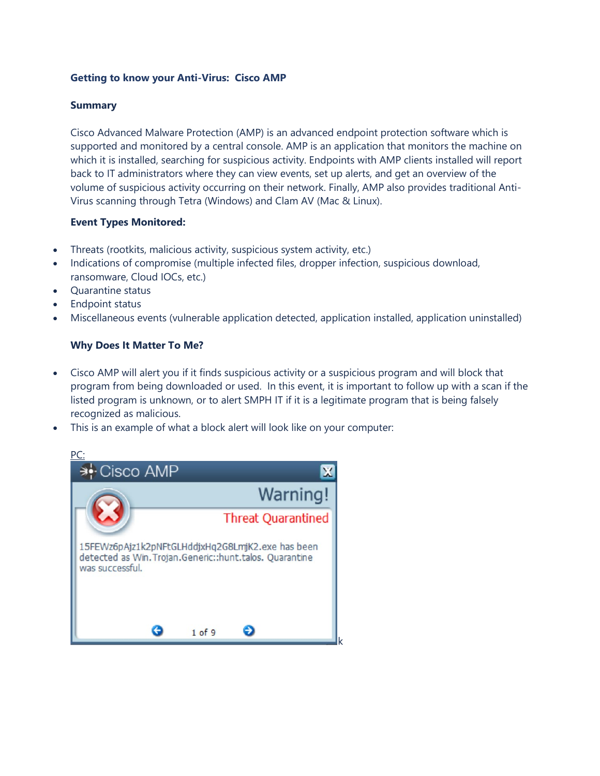## **Getting to know your Anti-Virus: Cisco AMP**

## **Summary**

Cisco Advanced Malware Protection (AMP) is an advanced endpoint protection software which is supported and monitored by a central console. AMP is an application that monitors the machine on which it is installed, searching for suspicious activity. Endpoints with AMP clients installed will report back to IT administrators where they can view events, set up alerts, and get an overview of the volume of suspicious activity occurring on their network. Finally, AMP also provides traditional Anti-Virus scanning through Tetra (Windows) and Clam AV (Mac & Linux).

#### **Event Types Monitored:**

- Threats (rootkits, malicious activity, suspicious system activity, etc.)
- Indications of compromise (multiple infected files, dropper infection, suspicious download, ransomware, Cloud IOCs, etc.)
- Quarantine status
- Endpoint status
- Miscellaneous events (vulnerable application detected, application installed, application uninstalled)

## **Why Does It Matter To Me?**

- Cisco AMP will alert you if it finds suspicious activity or a suspicious program and will block that program from being downloaded or used. In this event, it is important to follow up with a scan if the listed program is unknown, or to alert SMPH IT if it is a legitimate program that is being falsely recognized as malicious.
- This is an example of what a block alert will look like on your computer:

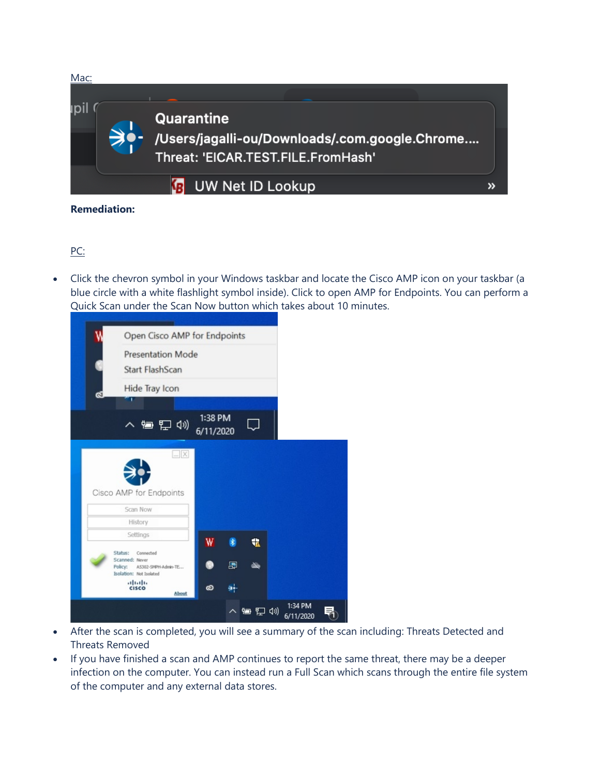

# PC:

• Click the chevron symbol in your Windows taskbar and locate the Cisco AMP icon on your taskbar (a blue circle with a white flashlight symbol inside). Click to open AMP for Endpoints. You can perform a Quick Scan under the Scan Now button which takes about 10 minutes.

| Open Cisco AMP for Endpoints<br><b>Presentation Mode</b><br>Start FlashScan |                      |    |         |  |
|-----------------------------------------------------------------------------|----------------------|----|---------|--|
|                                                                             |                      |    |         |  |
|                                                                             |                      |    |         |  |
|                                                                             |                      |    |         |  |
| Hide Tray Icon                                                              |                      |    |         |  |
| ٠                                                                           |                      |    |         |  |
| 入归口(1)                                                                      | 1:38 PM<br>6/11/2020 |    |         |  |
| $- X $                                                                      |                      |    |         |  |
|                                                                             |                      |    |         |  |
|                                                                             |                      |    |         |  |
| Cisco AMP for Endpoints                                                     |                      |    |         |  |
| Scan Now<br>History                                                         |                      |    |         |  |
| Settings                                                                    |                      |    |         |  |
| Status:<br>Connected                                                        | W<br>$\ast$          | 北  |         |  |
| Scanned: Never<br>Policy:<br>A5302-SMPH-Admin-TE                            | 團                    | N. |         |  |
| Isolation: Not Isolated                                                     |                      |    |         |  |
| <b>CISCO</b><br>About                                                       | ⊹ۆ<br>$\infty$       |    |         |  |
|                                                                             |                      |    | 1:34 PM |  |
| altalia                                                                     |                      |    |         |  |

- After the scan is completed, you will see a summary of the scan including: Threats Detected and Threats Removed
- If you have finished a scan and AMP continues to report the same threat, there may be a deeper infection on the computer. You can instead run a Full Scan which scans through the entire file system of the computer and any external data stores.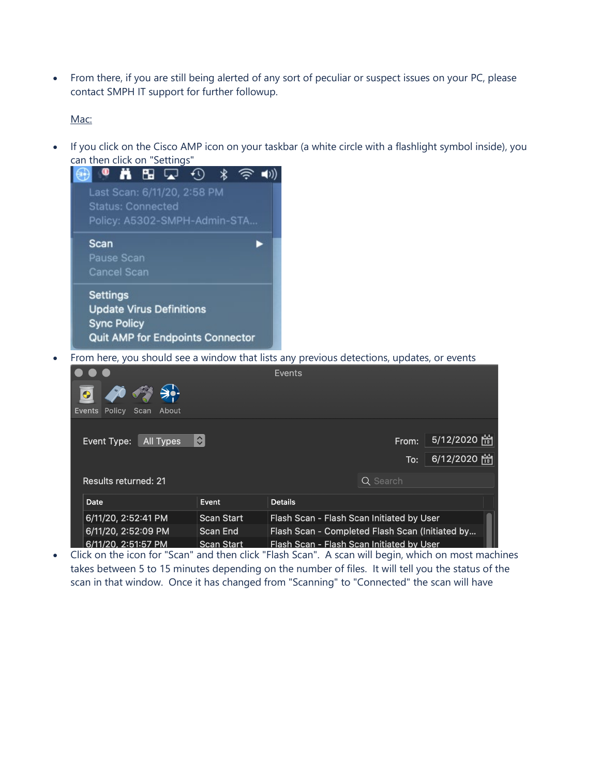• From there, if you are still being alerted of any sort of peculiar or suspect issues on your PC, please contact SMPH IT support for further followup.

Mac:

• If you click on the Cisco AMP icon on your taskbar (a white circle with a flashlight symbol inside), you can then click on "Settings"



• From here, you should see a window that lists any previous detections, updates, or events

|                                 |                                                                    | <b>Events</b>                             |          |              |  |  |
|---------------------------------|--------------------------------------------------------------------|-------------------------------------------|----------|--------------|--|--|
| Events Policy<br>Scan About     |                                                                    |                                           |          |              |  |  |
|                                 |                                                                    |                                           |          |              |  |  |
| <b>All Types</b><br>Event Type: | $\hat{\mathbf{v}}$                                                 |                                           | From:    | 5/12/2020 [# |  |  |
|                                 |                                                                    |                                           | To:      | 6/12/2020 [# |  |  |
| <b>Results returned: 21</b>     |                                                                    |                                           | Q Search |              |  |  |
| Date                            | Event                                                              | <b>Details</b>                            |          |              |  |  |
| 6/11/20, 2:52:41 PM             | <b>Scan Start</b>                                                  | Flash Scan - Flash Scan Initiated by User |          |              |  |  |
| 6/11/20, 2:52:09 PM             | Flash Scan - Completed Flash Scan (Initiated by<br><b>Scan End</b> |                                           |          |              |  |  |
| 6/11/20, 2:51:57 PM             | <b>Scan Start</b>                                                  | Flash Scan - Flash Scan Initiated by User |          |              |  |  |

• Click on the icon for "Scan" and then click "Flash Scan". A scan will begin, which on most machines takes between 5 to 15 minutes depending on the number of files. It will tell you the status of the scan in that window. Once it has changed from "Scanning" to "Connected" the scan will have